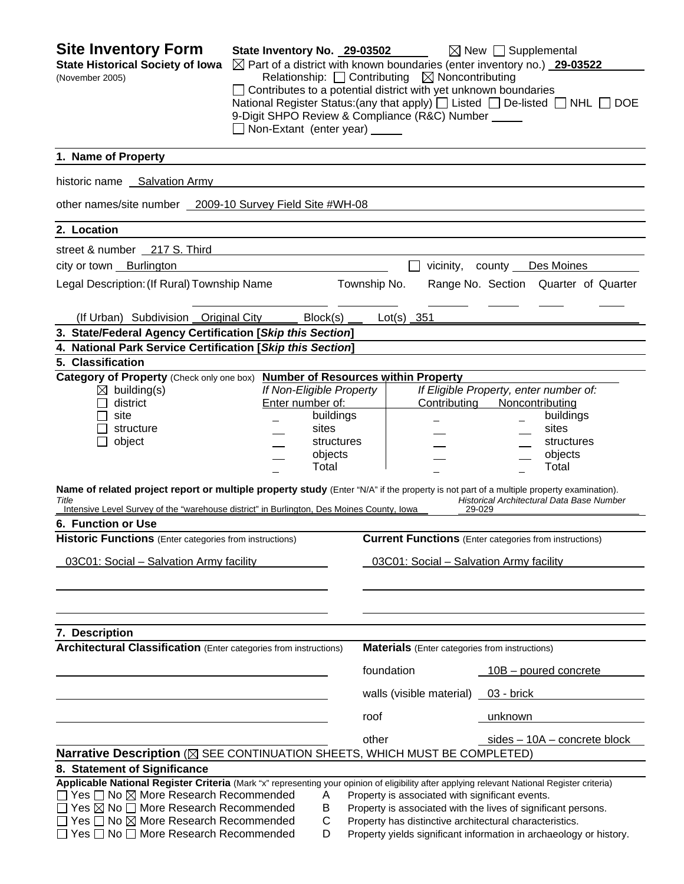| <b>Site Inventory Form</b><br><b>State Historical Society of Iowa</b><br>(November 2005)                                                                                                                                                      | State Inventory No. 29-03502<br>Non-Extant (enter year) _____ |                          |              | Relationship: $\Box$ Contributing $\boxtimes$ Noncontributing<br>Contributes to a potential district with yet unknown boundaries<br>9-Digit SHPO Review & Compliance (R&C) Number _____ | $\boxtimes$ New $\Box$ Supplemental<br>$\boxtimes$ Part of a district with known boundaries (enter inventory no.) 29-03522<br>National Register Status: (any that apply) $\Box$ Listed $\Box$ De-listed $\Box$ NHL $\Box$ DOE |
|-----------------------------------------------------------------------------------------------------------------------------------------------------------------------------------------------------------------------------------------------|---------------------------------------------------------------|--------------------------|--------------|-----------------------------------------------------------------------------------------------------------------------------------------------------------------------------------------|-------------------------------------------------------------------------------------------------------------------------------------------------------------------------------------------------------------------------------|
| 1. Name of Property                                                                                                                                                                                                                           |                                                               |                          |              |                                                                                                                                                                                         |                                                                                                                                                                                                                               |
| historic name Salvation Army                                                                                                                                                                                                                  |                                                               |                          |              |                                                                                                                                                                                         |                                                                                                                                                                                                                               |
| other names/site number 2009-10 Survey Field Site #WH-08                                                                                                                                                                                      |                                                               |                          |              |                                                                                                                                                                                         |                                                                                                                                                                                                                               |
| 2. Location                                                                                                                                                                                                                                   |                                                               |                          |              |                                                                                                                                                                                         |                                                                                                                                                                                                                               |
| street & number 217 S. Third                                                                                                                                                                                                                  |                                                               |                          |              |                                                                                                                                                                                         |                                                                                                                                                                                                                               |
| city or town Burlington                                                                                                                                                                                                                       |                                                               |                          |              |                                                                                                                                                                                         | vicinity, county Des Moines                                                                                                                                                                                                   |
| Legal Description: (If Rural) Township Name                                                                                                                                                                                                   |                                                               |                          | Township No. |                                                                                                                                                                                         | Range No. Section Quarter of Quarter                                                                                                                                                                                          |
|                                                                                                                                                                                                                                               |                                                               |                          |              |                                                                                                                                                                                         |                                                                                                                                                                                                                               |
| (If Urban) Subdivision Original City                                                                                                                                                                                                          |                                                               | Block(s)                 |              | $Lot(s)$ 351                                                                                                                                                                            |                                                                                                                                                                                                                               |
| 3. State/Federal Agency Certification [Skip this Section]                                                                                                                                                                                     |                                                               |                          |              |                                                                                                                                                                                         |                                                                                                                                                                                                                               |
| 4. National Park Service Certification [Skip this Section]                                                                                                                                                                                    |                                                               |                          |              |                                                                                                                                                                                         |                                                                                                                                                                                                                               |
| 5. Classification                                                                                                                                                                                                                             |                                                               |                          |              |                                                                                                                                                                                         |                                                                                                                                                                                                                               |
| Category of Property (Check only one box)                                                                                                                                                                                                     |                                                               | If Non-Eligible Property |              | <b>Number of Resources within Property</b>                                                                                                                                              | If Eligible Property, enter number of:                                                                                                                                                                                        |
| $\boxtimes$ building(s)<br>district                                                                                                                                                                                                           | Enter number of:                                              |                          |              | Contributing                                                                                                                                                                            | Noncontributing                                                                                                                                                                                                               |
| site                                                                                                                                                                                                                                          |                                                               | buildings                |              |                                                                                                                                                                                         | buildings                                                                                                                                                                                                                     |
| structure                                                                                                                                                                                                                                     |                                                               | sites                    |              |                                                                                                                                                                                         | sites                                                                                                                                                                                                                         |
|                                                                                                                                                                                                                                               |                                                               | structures               |              |                                                                                                                                                                                         | structures                                                                                                                                                                                                                    |
| object                                                                                                                                                                                                                                        |                                                               | objects                  |              |                                                                                                                                                                                         | objects                                                                                                                                                                                                                       |
|                                                                                                                                                                                                                                               |                                                               | Total                    |              |                                                                                                                                                                                         | Total                                                                                                                                                                                                                         |
| Name of related project report or multiple property study (Enter "N/A" if the property is not part of a multiple property examination).<br>Title<br>Intensive Level Survey of the "warehouse district" in Burlington, Des Moines County, Iowa |                                                               |                          |              | 29-029                                                                                                                                                                                  | Historical Architectural Data Base Number                                                                                                                                                                                     |
| 6. Function or Use                                                                                                                                                                                                                            |                                                               |                          |              |                                                                                                                                                                                         |                                                                                                                                                                                                                               |
| <b>Historic Functions</b> (Enter categories from instructions)                                                                                                                                                                                |                                                               |                          |              |                                                                                                                                                                                         | <b>Current Functions</b> (Enter categories from instructions)                                                                                                                                                                 |
| 03C01: Social - Salvation Army facility                                                                                                                                                                                                       |                                                               |                          |              | 03C01: Social - Salvation Army facility                                                                                                                                                 |                                                                                                                                                                                                                               |
| 7. Description                                                                                                                                                                                                                                |                                                               |                          |              |                                                                                                                                                                                         |                                                                                                                                                                                                                               |
| <b>Architectural Classification</b> (Enter categories from instructions)                                                                                                                                                                      |                                                               |                          |              | <b>Materials</b> (Enter categories from instructions)                                                                                                                                   |                                                                                                                                                                                                                               |
|                                                                                                                                                                                                                                               |                                                               |                          |              | foundation                                                                                                                                                                              | $10B$ – poured concrete                                                                                                                                                                                                       |
|                                                                                                                                                                                                                                               |                                                               |                          |              | walls (visible material) $\qquad 03$ - brick                                                                                                                                            |                                                                                                                                                                                                                               |
|                                                                                                                                                                                                                                               |                                                               |                          |              |                                                                                                                                                                                         |                                                                                                                                                                                                                               |
|                                                                                                                                                                                                                                               |                                                               |                          | roof         |                                                                                                                                                                                         | <u>unknown</u>                                                                                                                                                                                                                |
| Narrative Description ( $\boxtimes$ SEE CONTINUATION SHEETS, WHICH MUST BE COMPLETED)                                                                                                                                                         |                                                               |                          | other        |                                                                                                                                                                                         | sides - 10A - concrete block                                                                                                                                                                                                  |
| 8. Statement of Significance                                                                                                                                                                                                                  |                                                               |                          |              |                                                                                                                                                                                         |                                                                                                                                                                                                                               |
| Applicable National Register Criteria (Mark "x" representing your opinion of eligibility after applying relevant National Register criteria)                                                                                                  |                                                               |                          |              |                                                                                                                                                                                         |                                                                                                                                                                                                                               |
| $\Box$ Yes $\Box$ No $\boxtimes$ More Research Recommended                                                                                                                                                                                    |                                                               | Α                        |              | Property is associated with significant events.                                                                                                                                         |                                                                                                                                                                                                                               |
| $\Box$ Yes $\boxtimes$ No $\Box$ More Research Recommended                                                                                                                                                                                    |                                                               | В                        |              |                                                                                                                                                                                         | Property is associated with the lives of significant persons.                                                                                                                                                                 |
| $\Box$ Yes $\Box$ No $\boxtimes$ More Research Recommended                                                                                                                                                                                    |                                                               | C                        |              |                                                                                                                                                                                         | Property has distinctive architectural characteristics.                                                                                                                                                                       |
| $\Box$ Yes $\Box$ No $\Box$ More Research Recommended                                                                                                                                                                                         |                                                               | D                        |              |                                                                                                                                                                                         | Property yields significant information in archaeology or history.                                                                                                                                                            |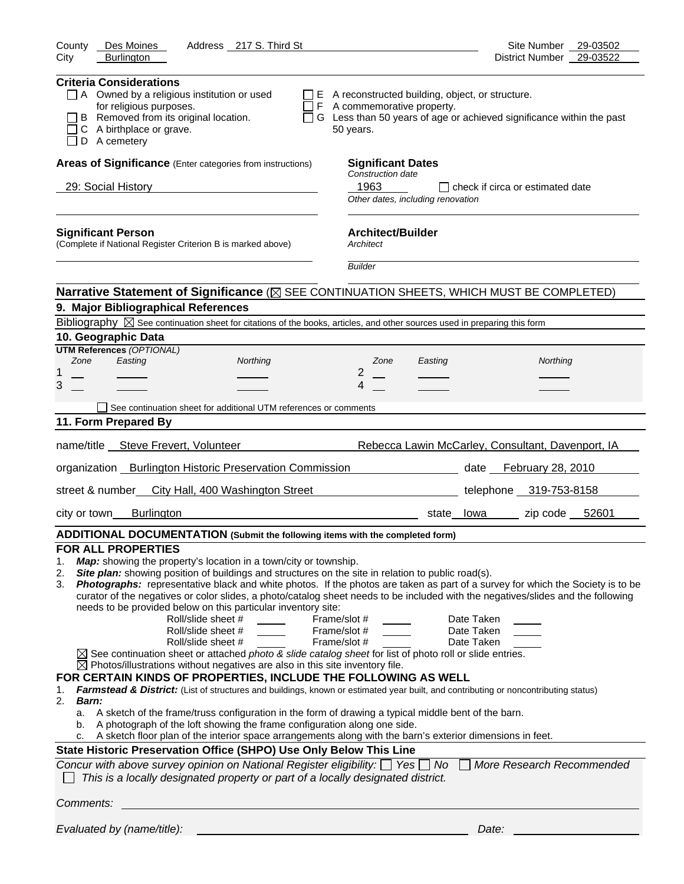| County<br>Des Moines<br>Address 217 S. Third St                                                                                                                                                                                                                                                                                                                                                                                                                                                                                                                                                                                                                                                                                                                                                                                                                                                                                                                                                                                                                                                                                                                                                                                                                                                                                                                                                                                                                                                                                                                                                                                                                                                           | Site Number<br>29-03502                                                |
|-----------------------------------------------------------------------------------------------------------------------------------------------------------------------------------------------------------------------------------------------------------------------------------------------------------------------------------------------------------------------------------------------------------------------------------------------------------------------------------------------------------------------------------------------------------------------------------------------------------------------------------------------------------------------------------------------------------------------------------------------------------------------------------------------------------------------------------------------------------------------------------------------------------------------------------------------------------------------------------------------------------------------------------------------------------------------------------------------------------------------------------------------------------------------------------------------------------------------------------------------------------------------------------------------------------------------------------------------------------------------------------------------------------------------------------------------------------------------------------------------------------------------------------------------------------------------------------------------------------------------------------------------------------------------------------------------------------|------------------------------------------------------------------------|
| City<br><b>Burlington</b>                                                                                                                                                                                                                                                                                                                                                                                                                                                                                                                                                                                                                                                                                                                                                                                                                                                                                                                                                                                                                                                                                                                                                                                                                                                                                                                                                                                                                                                                                                                                                                                                                                                                                 | 29-03522<br><b>District Number</b>                                     |
| <b>Criteria Considerations</b><br>A Owned by a religious institution or used<br>E A reconstructed building, object, or structure.<br>for religious purposes.<br>$\Box$ F A commemorative property.<br>B Removed from its original location.<br>A birthplace or grave.<br>50 years.<br>D A cemetery                                                                                                                                                                                                                                                                                                                                                                                                                                                                                                                                                                                                                                                                                                                                                                                                                                                                                                                                                                                                                                                                                                                                                                                                                                                                                                                                                                                                        | □ G Less than 50 years of age or achieved significance within the past |
| Areas of Significance (Enter categories from instructions)<br><b>Significant Dates</b>                                                                                                                                                                                                                                                                                                                                                                                                                                                                                                                                                                                                                                                                                                                                                                                                                                                                                                                                                                                                                                                                                                                                                                                                                                                                                                                                                                                                                                                                                                                                                                                                                    |                                                                        |
| Construction date                                                                                                                                                                                                                                                                                                                                                                                                                                                                                                                                                                                                                                                                                                                                                                                                                                                                                                                                                                                                                                                                                                                                                                                                                                                                                                                                                                                                                                                                                                                                                                                                                                                                                         |                                                                        |
| 1963<br>29: Social History<br>Other dates, including renovation                                                                                                                                                                                                                                                                                                                                                                                                                                                                                                                                                                                                                                                                                                                                                                                                                                                                                                                                                                                                                                                                                                                                                                                                                                                                                                                                                                                                                                                                                                                                                                                                                                           | $\Box$ check if circa or estimated date                                |
| <b>Architect/Builder</b><br><b>Significant Person</b><br>(Complete if National Register Criterion B is marked above)<br>Architect                                                                                                                                                                                                                                                                                                                                                                                                                                                                                                                                                                                                                                                                                                                                                                                                                                                                                                                                                                                                                                                                                                                                                                                                                                                                                                                                                                                                                                                                                                                                                                         |                                                                        |
| <b>Builder</b>                                                                                                                                                                                                                                                                                                                                                                                                                                                                                                                                                                                                                                                                                                                                                                                                                                                                                                                                                                                                                                                                                                                                                                                                                                                                                                                                                                                                                                                                                                                                                                                                                                                                                            |                                                                        |
| Narrative Statement of Significance ( $\boxtimes$ SEE CONTINUATION SHEETS, WHICH MUST BE COMPLETED)                                                                                                                                                                                                                                                                                                                                                                                                                                                                                                                                                                                                                                                                                                                                                                                                                                                                                                                                                                                                                                                                                                                                                                                                                                                                                                                                                                                                                                                                                                                                                                                                       |                                                                        |
| 9. Major Bibliographical References                                                                                                                                                                                                                                                                                                                                                                                                                                                                                                                                                                                                                                                                                                                                                                                                                                                                                                                                                                                                                                                                                                                                                                                                                                                                                                                                                                                                                                                                                                                                                                                                                                                                       |                                                                        |
| Bibliography $\boxtimes$ See continuation sheet for citations of the books, articles, and other sources used in preparing this form                                                                                                                                                                                                                                                                                                                                                                                                                                                                                                                                                                                                                                                                                                                                                                                                                                                                                                                                                                                                                                                                                                                                                                                                                                                                                                                                                                                                                                                                                                                                                                       |                                                                        |
| 10. Geographic Data                                                                                                                                                                                                                                                                                                                                                                                                                                                                                                                                                                                                                                                                                                                                                                                                                                                                                                                                                                                                                                                                                                                                                                                                                                                                                                                                                                                                                                                                                                                                                                                                                                                                                       |                                                                        |
| <b>UTM References (OPTIONAL)</b>                                                                                                                                                                                                                                                                                                                                                                                                                                                                                                                                                                                                                                                                                                                                                                                                                                                                                                                                                                                                                                                                                                                                                                                                                                                                                                                                                                                                                                                                                                                                                                                                                                                                          |                                                                        |
| Zone<br>Easting<br>Northing<br>Zone<br>Easting<br>2<br>1                                                                                                                                                                                                                                                                                                                                                                                                                                                                                                                                                                                                                                                                                                                                                                                                                                                                                                                                                                                                                                                                                                                                                                                                                                                                                                                                                                                                                                                                                                                                                                                                                                                  | Northing                                                               |
| 3<br>4                                                                                                                                                                                                                                                                                                                                                                                                                                                                                                                                                                                                                                                                                                                                                                                                                                                                                                                                                                                                                                                                                                                                                                                                                                                                                                                                                                                                                                                                                                                                                                                                                                                                                                    |                                                                        |
|                                                                                                                                                                                                                                                                                                                                                                                                                                                                                                                                                                                                                                                                                                                                                                                                                                                                                                                                                                                                                                                                                                                                                                                                                                                                                                                                                                                                                                                                                                                                                                                                                                                                                                           |                                                                        |
| See continuation sheet for additional UTM references or comments                                                                                                                                                                                                                                                                                                                                                                                                                                                                                                                                                                                                                                                                                                                                                                                                                                                                                                                                                                                                                                                                                                                                                                                                                                                                                                                                                                                                                                                                                                                                                                                                                                          |                                                                        |
| 11. Form Prepared By                                                                                                                                                                                                                                                                                                                                                                                                                                                                                                                                                                                                                                                                                                                                                                                                                                                                                                                                                                                                                                                                                                                                                                                                                                                                                                                                                                                                                                                                                                                                                                                                                                                                                      |                                                                        |
| name/title __ Steve Frevert, Volunteer                                                                                                                                                                                                                                                                                                                                                                                                                                                                                                                                                                                                                                                                                                                                                                                                                                                                                                                                                                                                                                                                                                                                                                                                                                                                                                                                                                                                                                                                                                                                                                                                                                                                    | Rebecca Lawin McCarley, Consultant, Davenport, IA                      |
| organization _ Burlington Historic Preservation Commission                                                                                                                                                                                                                                                                                                                                                                                                                                                                                                                                                                                                                                                                                                                                                                                                                                                                                                                                                                                                                                                                                                                                                                                                                                                                                                                                                                                                                                                                                                                                                                                                                                                | date February 28, 2010                                                 |
| street & number City Hall, 400 Washington Street                                                                                                                                                                                                                                                                                                                                                                                                                                                                                                                                                                                                                                                                                                                                                                                                                                                                                                                                                                                                                                                                                                                                                                                                                                                                                                                                                                                                                                                                                                                                                                                                                                                          | telephone 319-753-8158                                                 |
| <b>Burlington</b><br>city or town                                                                                                                                                                                                                                                                                                                                                                                                                                                                                                                                                                                                                                                                                                                                                                                                                                                                                                                                                                                                                                                                                                                                                                                                                                                                                                                                                                                                                                                                                                                                                                                                                                                                         | zip code 52601<br>state lowa                                           |
| ADDITIONAL DOCUMENTATION (Submit the following items with the completed form)                                                                                                                                                                                                                                                                                                                                                                                                                                                                                                                                                                                                                                                                                                                                                                                                                                                                                                                                                                                                                                                                                                                                                                                                                                                                                                                                                                                                                                                                                                                                                                                                                             |                                                                        |
| <b>FOR ALL PROPERTIES</b><br>Map: showing the property's location in a town/city or township.<br>1.<br>Site plan: showing position of buildings and structures on the site in relation to public road(s).<br>2.<br>Photographs: representative black and white photos. If the photos are taken as part of a survey for which the Society is to be<br>3.<br>curator of the negatives or color slides, a photo/catalog sheet needs to be included with the negatives/slides and the following<br>needs to be provided below on this particular inventory site:<br>Roll/slide sheet #<br>Frame/slot #<br>Roll/slide sheet #<br>Frame/slot #<br>Roll/slide sheet #<br>Frame/slot #<br>$\boxtimes$ See continuation sheet or attached photo & slide catalog sheet for list of photo roll or slide entries.<br>$\boxtimes$ Photos/illustrations without negatives are also in this site inventory file.<br>FOR CERTAIN KINDS OF PROPERTIES, INCLUDE THE FOLLOWING AS WELL<br>Farmstead & District: (List of structures and buildings, known or estimated year built, and contributing or noncontributing status)<br>1.<br>2.<br>Barn:<br>a. A sketch of the frame/truss configuration in the form of drawing a typical middle bent of the barn.<br>A photograph of the loft showing the frame configuration along one side.<br>b.<br>A sketch floor plan of the interior space arrangements along with the barn's exterior dimensions in feet.<br>c.<br>State Historic Preservation Office (SHPO) Use Only Below This Line<br>Concur with above survey opinion on National Register eligibility: $\Box$ Yes $\Box$ No $\Box$<br>This is a locally designated property or part of a locally designated district. | Date Taken<br>Date Taken<br>Date Taken<br>More Research Recommended    |
| Comments:                                                                                                                                                                                                                                                                                                                                                                                                                                                                                                                                                                                                                                                                                                                                                                                                                                                                                                                                                                                                                                                                                                                                                                                                                                                                                                                                                                                                                                                                                                                                                                                                                                                                                                 |                                                                        |
| Evaluated by (name/title):                                                                                                                                                                                                                                                                                                                                                                                                                                                                                                                                                                                                                                                                                                                                                                                                                                                                                                                                                                                                                                                                                                                                                                                                                                                                                                                                                                                                                                                                                                                                                                                                                                                                                | Date:                                                                  |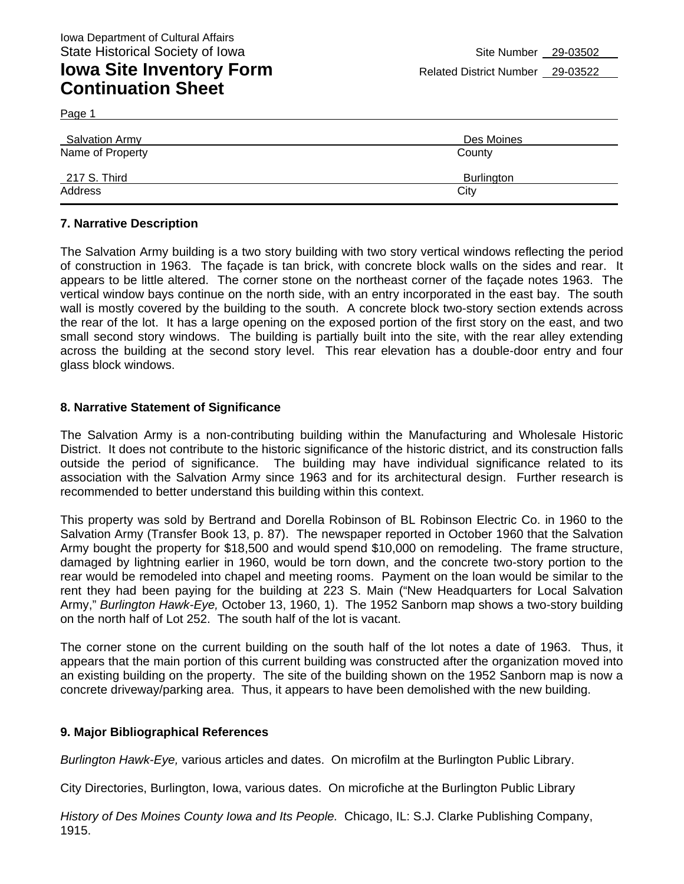Page 1

| <b>Salvation Army</b> | Des Moines |
|-----------------------|------------|
| Name of Property      | County     |
| 217 S. Third          | Burlington |
| Address               | City       |

#### **7. Narrative Description**

The Salvation Army building is a two story building with two story vertical windows reflecting the period of construction in 1963. The façade is tan brick, with concrete block walls on the sides and rear. It appears to be little altered. The corner stone on the northeast corner of the façade notes 1963. The vertical window bays continue on the north side, with an entry incorporated in the east bay. The south wall is mostly covered by the building to the south. A concrete block two-story section extends across the rear of the lot. It has a large opening on the exposed portion of the first story on the east, and two small second story windows. The building is partially built into the site, with the rear alley extending across the building at the second story level. This rear elevation has a double-door entry and four glass block windows.

#### **8. Narrative Statement of Significance**

The Salvation Army is a non-contributing building within the Manufacturing and Wholesale Historic District. It does not contribute to the historic significance of the historic district, and its construction falls outside the period of significance. The building may have individual significance related to its association with the Salvation Army since 1963 and for its architectural design. Further research is recommended to better understand this building within this context.

This property was sold by Bertrand and Dorella Robinson of BL Robinson Electric Co. in 1960 to the Salvation Army (Transfer Book 13, p. 87). The newspaper reported in October 1960 that the Salvation Army bought the property for \$18,500 and would spend \$10,000 on remodeling. The frame structure, damaged by lightning earlier in 1960, would be torn down, and the concrete two-story portion to the rear would be remodeled into chapel and meeting rooms. Payment on the loan would be similar to the rent they had been paying for the building at 223 S. Main ("New Headquarters for Local Salvation Army," *Burlington Hawk-Eye,* October 13, 1960, 1). The 1952 Sanborn map shows a two-story building on the north half of Lot 252. The south half of the lot is vacant.

The corner stone on the current building on the south half of the lot notes a date of 1963. Thus, it appears that the main portion of this current building was constructed after the organization moved into an existing building on the property. The site of the building shown on the 1952 Sanborn map is now a concrete driveway/parking area. Thus, it appears to have been demolished with the new building.

#### **9. Major Bibliographical References**

*Burlington Hawk-Eye,* various articles and dates. On microfilm at the Burlington Public Library.

City Directories, Burlington, Iowa, various dates. On microfiche at the Burlington Public Library

*History of Des Moines County Iowa and Its People.* Chicago, IL: S.J. Clarke Publishing Company, 1915.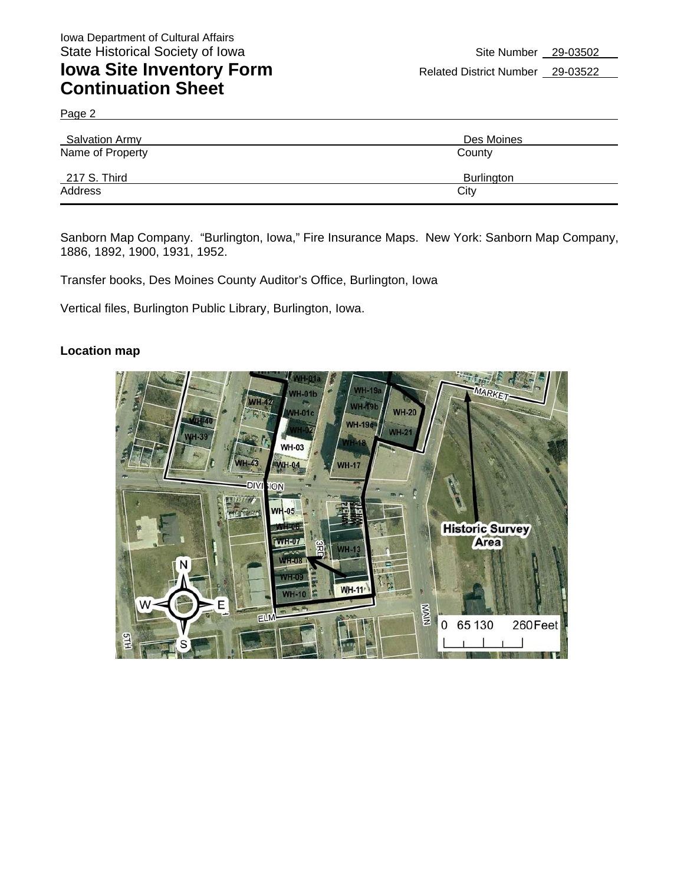Page 2

| <b>Salvation Army</b> | Des Moines        |
|-----------------------|-------------------|
| Name of Property      | County            |
| 217 S. Third          | <b>Burlington</b> |
| Address               | City              |

Sanborn Map Company. "Burlington, Iowa," Fire Insurance Maps. New York: Sanborn Map Company, 1886, 1892, 1900, 1931, 1952.

Transfer books, Des Moines County Auditor's Office, Burlington, Iowa

Vertical files, Burlington Public Library, Burlington, Iowa.

#### **Location map**

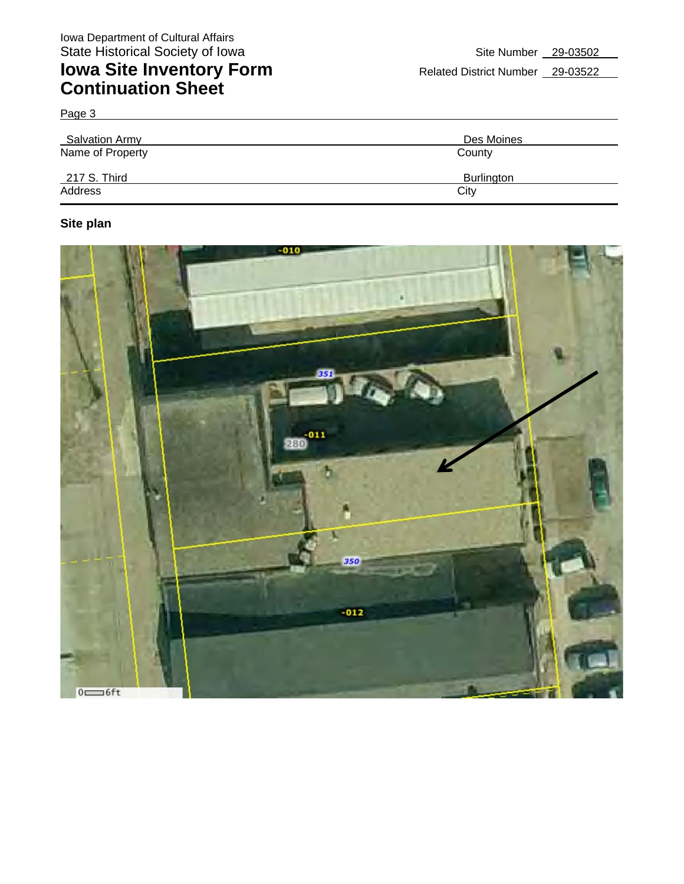Page 3

| Salvation Army   | Des Moines        |
|------------------|-------------------|
| Name of Property | County            |
| 217 S. Third     | <b>Burlington</b> |
| Address          | City              |

### **Site plan**

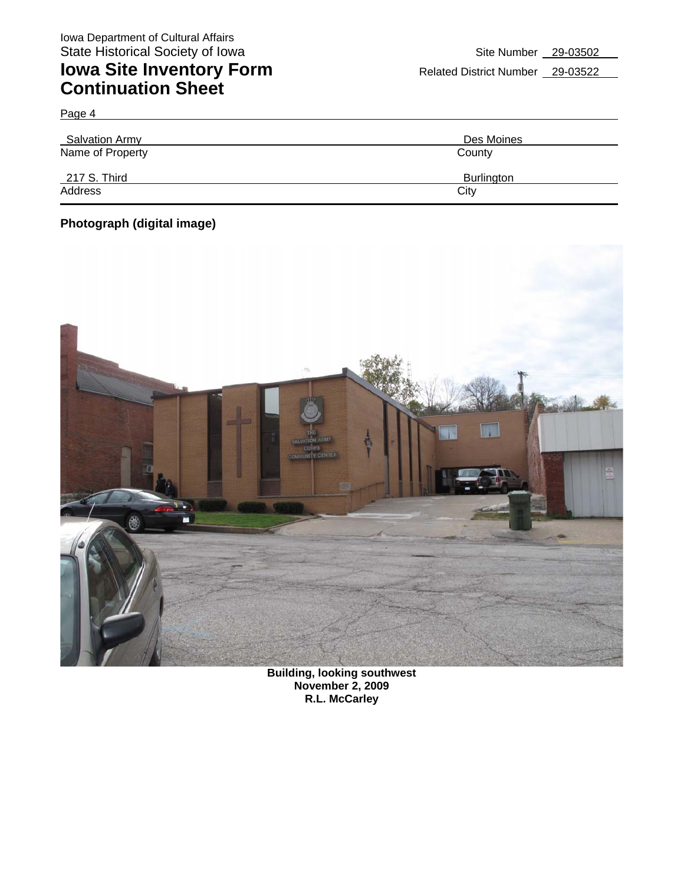Page 4

| Salvation Army   | Des Moines        |
|------------------|-------------------|
| Name of Property | County            |
| 217 S. Third     | <b>Burlington</b> |
| Address          | City              |

### **Photograph (digital image)**



**Building, looking southwest November 2, 2009 R.L. McCarley**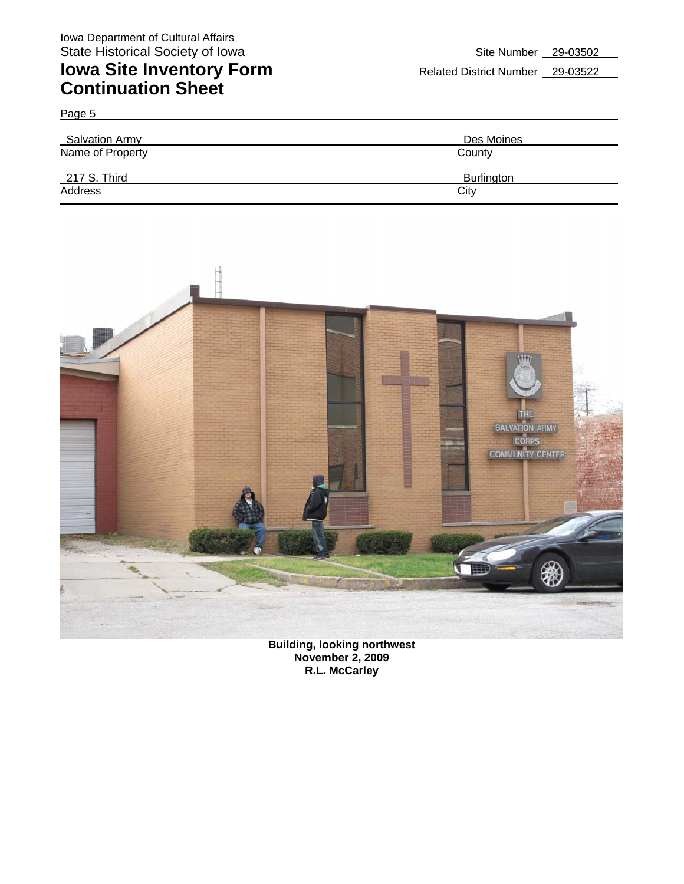Page 5

## **Iowa Site Inventory Form** Related District Number 29-03522 **Continuation Sheet**

| <b>Salvation Army</b> | Des Moines |
|-----------------------|------------|
| Name of Property      | County     |
| 217 S. Third          | Burlington |
| Address               | City       |



**Building, looking northwest November 2, 2009 R.L. McCarley**